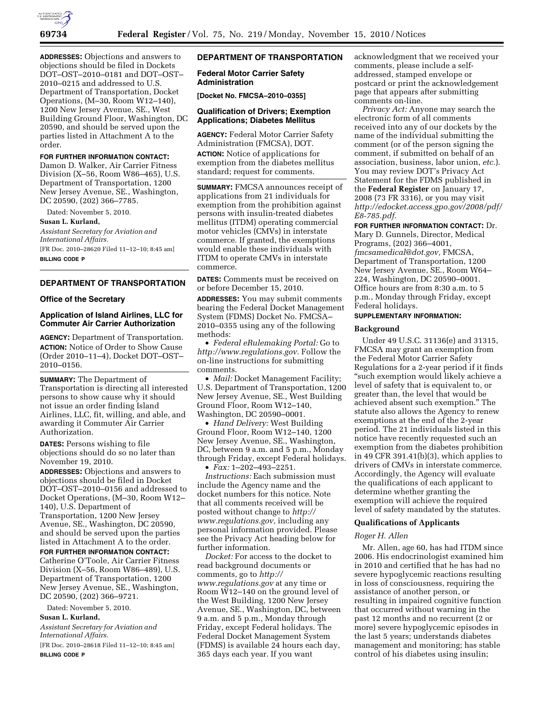

**ADDRESSES:** Objections and answers to objections should be filed in Dockets DOT–OST–2010–0181 and DOT–OST– 2010–0215 and addressed to U.S. Department of Transportation, Docket Operations, (M–30, Room W12–140), 1200 New Jersey Avenue, SE., West Building Ground Floor, Washington, DC 20590, and should be served upon the parties listed in Attachment A to the order.

## **FOR FURTHER INFORMATION CONTACT:**

Damon D. Walker, Air Carrier Fitness Division (X–56, Room W86–465), U.S. Department of Transportation, 1200 New Jersey Avenue, SE., Washington, DC 20590, (202) 366–7785.

Dated: November 5, 2010.

#### **Susan L. Kurland,**

*Assistant Secretary for Aviation and International Affairs.*  [FR Doc. 2010–28620 Filed 11–12–10; 8:45 am] **BILLING CODE P** 

# **DEPARTMENT OF TRANSPORTATION**

#### **Office of the Secretary**

# **Application of Island Airlines, LLC for Commuter Air Carrier Authorization**

**AGENCY:** Department of Transportation. **ACTION:** Notice of Order to Show Cause (Order 2010–11–4), Docket DOT–OST– 2010–0156.

**SUMMARY:** The Department of Transportation is directing all interested persons to show cause why it should not issue an order finding Island Airlines, LLC, fit, willing, and able, and awarding it Commuter Air Carrier Authorization.

**DATES:** Persons wishing to file objections should do so no later than November 19, 2010.

**ADDRESSES:** Objections and answers to objections should be filed in Docket DOT–OST–2010–0156 and addressed to Docket Operations, (M–30, Room W12– 140), U.S. Department of Transportation, 1200 New Jersey Avenue, SE., Washington, DC 20590, and should be served upon the parties listed in Attachment A to the order.

**FOR FURTHER INFORMATION CONTACT:**  Catherine O'Toole, Air Carrier Fitness Division (X–56, Room W86–489), U.S. Department of Transportation, 1200 New Jersey Avenue, SE., Washington, DC 20590, (202) 366–9721.

Dated: November 5, 2010.

## **Susan L. Kurland,**

*Assistant Secretary for Aviation and International Affairs.* 

[FR Doc. 2010–28618 Filed 11–12–10; 8:45 am] **BILLING CODE P** 

# **DEPARTMENT OF TRANSPORTATION**

## **Federal Motor Carrier Safety Administration**

**[Docket No. FMCSA–2010–0355]** 

# **Qualification of Drivers; Exemption Applications; Diabetes Mellitus**

**AGENCY:** Federal Motor Carrier Safety Administration (FMCSA), DOT.

**ACTION:** Notice of applications for exemption from the diabetes mellitus standard; request for comments.

**SUMMARY:** FMCSA announces receipt of applications from 21 individuals for exemption from the prohibition against persons with insulin-treated diabetes mellitus (ITDM) operating commercial motor vehicles (CMVs) in interstate commerce. If granted, the exemptions would enable these individuals with ITDM to operate CMVs in interstate commerce.

**DATES:** Comments must be received on or before December 15, 2010.

**ADDRESSES:** You may submit comments bearing the Federal Docket Management System (FDMS) Docket No. FMCSA– 2010–0355 using any of the following methods:

• *Federal eRulemaking Portal:* Go to *[http://www.regulations.gov.](http://www.regulations.gov)* Follow the on-line instructions for submitting comments.

• *Mail:* Docket Management Facility; U.S. Department of Transportation, 1200 New Jersey Avenue, SE., West Building Ground Floor, Room W12–140, Washington, DC 20590–0001.

• *Hand Delivery:* West Building Ground Floor, Room W12–140, 1200 New Jersey Avenue, SE., Washington, DC, between 9 a.m. and 5 p.m., Monday through Friday, except Federal holidays. • *Fax:* 1–202–493–2251.

*Instructions:* Each submission must include the Agency name and the docket numbers for this notice. Note that all comments received will be posted without change to *[http://](http://www.regulations.gov) [www.regulations.gov,](http://www.regulations.gov)* including any personal information provided. Please see the Privacy Act heading below for further information.

*Docket:* For access to the docket to read background documents or comments, go to *[http://](http://www.regulations.gov) [www.regulations.gov](http://www.regulations.gov)* at any time or Room W12–140 on the ground level of the West Building, 1200 New Jersey Avenue, SE., Washington, DC, between 9 a.m. and 5 p.m., Monday through Friday, except Federal holidays. The Federal Docket Management System (FDMS) is available 24 hours each day, 365 days each year. If you want

acknowledgment that we received your comments, please include a selfaddressed, stamped envelope or postcard or print the acknowledgement page that appears after submitting comments on-line.

*Privacy Act:* Anyone may search the electronic form of all comments received into any of our dockets by the name of the individual submitting the comment (or of the person signing the comment, if submitted on behalf of an association, business, labor union, *etc.*). You may review DOT's Privacy Act Statement for the FDMS published in the **Federal Register** on January 17, 2008 (73 FR 3316), or you may visit *[http://edocket.access.gpo.gov/2008/pdf/](http://edocket.access.gpo.gov/2008/pdf/E8-785.pdf) [E8-785.pdf.](http://edocket.access.gpo.gov/2008/pdf/E8-785.pdf)* 

**FOR FURTHER INFORMATION CONTACT:** Dr.

Mary D. Gunnels, Director, Medical Programs, (202) 366–4001, *[fmcsamedical@dot.gov,](mailto:fmcsamedical@dot.gov)* FMCSA, Department of Transportation, 1200 New Jersey Avenue, SE., Room W64– 224, Washington, DC 20590–0001. Office hours are from 8:30 a.m. to 5 p.m., Monday through Friday, except Federal holidays.

# **SUPPLEMENTARY INFORMATION:**

## **Background**

Under 49 U.S.C. 31136(e) and 31315, FMCSA may grant an exemption from the Federal Motor Carrier Safety Regulations for a 2-year period if it finds ''such exemption would likely achieve a level of safety that is equivalent to, or greater than, the level that would be achieved absent such exemption.'' The statute also allows the Agency to renew exemptions at the end of the 2-year period. The 21 individuals listed in this notice have recently requested such an exemption from the diabetes prohibition in 49 CFR 391.41(b)(3), which applies to drivers of CMVs in interstate commerce. Accordingly, the Agency will evaluate the qualifications of each applicant to determine whether granting the exemption will achieve the required level of safety mandated by the statutes.

# **Qualifications of Applicants**

#### *Roger H. Allen*

Mr. Allen, age 60, has had ITDM since 2006. His endocrinologist examined him in 2010 and certified that he has had no severe hypoglycemic reactions resulting in loss of consciousness, requiring the assistance of another person, or resulting in impaired cognitive function that occurred without warning in the past 12 months and no recurrent (2 or more) severe hypoglycemic episodes in the last 5 years; understands diabetes management and monitoring; has stable control of his diabetes using insulin;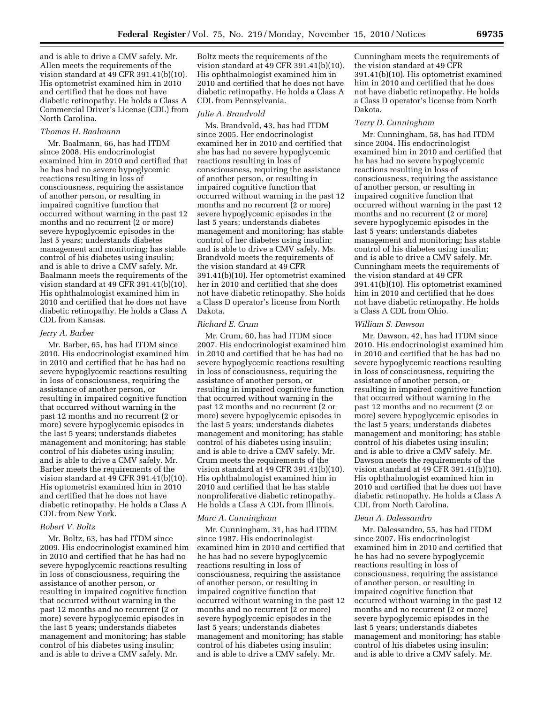and is able to drive a CMV safely. Mr. Allen meets the requirements of the vision standard at 49 CFR 391.41(b)(10). His optometrist examined him in 2010 and certified that he does not have diabetic retinopathy. He holds a Class A Commercial Driver's License (CDL) from North Carolina.

## *Thomas H. Baalmann*

Mr. Baalmann, 66, has had ITDM since 2008. His endocrinologist examined him in 2010 and certified that he has had no severe hypoglycemic reactions resulting in loss of consciousness, requiring the assistance of another person, or resulting in impaired cognitive function that occurred without warning in the past 12 months and no recurrent (2 or more) severe hypoglycemic episodes in the last 5 years; understands diabetes management and monitoring; has stable control of his diabetes using insulin; and is able to drive a CMV safely. Mr. Baalmann meets the requirements of the vision standard at 49 CFR 391.41(b)(10). His ophthalmologist examined him in 2010 and certified that he does not have diabetic retinopathy. He holds a Class A CDL from Kansas.

#### *Jerry A. Barber*

Mr. Barber, 65, has had ITDM since 2010. His endocrinologist examined him in 2010 and certified that he has had no severe hypoglycemic reactions resulting in loss of consciousness, requiring the assistance of another person, or resulting in impaired cognitive function that occurred without warning in the past 12 months and no recurrent (2 or more) severe hypoglycemic episodes in the last 5 years; understands diabetes management and monitoring; has stable control of his diabetes using insulin; and is able to drive a CMV safely. Mr. Barber meets the requirements of the vision standard at 49 CFR 391.41(b)(10). His optometrist examined him in 2010 and certified that he does not have diabetic retinopathy. He holds a Class A CDL from New York.

#### *Robert V. Boltz*

Mr. Boltz, 63, has had ITDM since 2009. His endocrinologist examined him in 2010 and certified that he has had no severe hypoglycemic reactions resulting in loss of consciousness, requiring the assistance of another person, or resulting in impaired cognitive function that occurred without warning in the past 12 months and no recurrent (2 or more) severe hypoglycemic episodes in the last 5 years; understands diabetes management and monitoring; has stable control of his diabetes using insulin; and is able to drive a CMV safely. Mr.

Boltz meets the requirements of the vision standard at 49 CFR 391.41(b)(10). His ophthalmologist examined him in 2010 and certified that he does not have diabetic retinopathy. He holds a Class A CDL from Pennsylvania.

#### *Julie A. Brandvold*

Ms. Brandvold, 43, has had ITDM since 2005. Her endocrinologist examined her in 2010 and certified that she has had no severe hypoglycemic reactions resulting in loss of consciousness, requiring the assistance of another person, or resulting in impaired cognitive function that occurred without warning in the past 12 months and no recurrent (2 or more) severe hypoglycemic episodes in the last 5 years; understands diabetes management and monitoring; has stable control of her diabetes using insulin; and is able to drive a CMV safely. Ms. Brandvold meets the requirements of the vision standard at 49 CFR 391.41(b)(10). Her optometrist examined her in 2010 and certified that she does not have diabetic retinopathy. She holds a Class D operator's license from North Dakota.

#### *Richard E. Crum*

Mr. Crum, 60, has had ITDM since 2007. His endocrinologist examined him in 2010 and certified that he has had no severe hypoglycemic reactions resulting in loss of consciousness, requiring the assistance of another person, or resulting in impaired cognitive function that occurred without warning in the past 12 months and no recurrent (2 or more) severe hypoglycemic episodes in the last 5 years; understands diabetes management and monitoring; has stable control of his diabetes using insulin; and is able to drive a CMV safely. Mr. Crum meets the requirements of the vision standard at 49 CFR 391.41(b)(10). His ophthalmologist examined him in 2010 and certified that he has stable nonproliferative diabetic retinopathy. He holds a Class A CDL from Illinois.

#### *Marc A. Cunningham*

Mr. Cunningham, 31, has had ITDM since 1987. His endocrinologist examined him in 2010 and certified that he has had no severe hypoglycemic reactions resulting in loss of consciousness, requiring the assistance of another person, or resulting in impaired cognitive function that occurred without warning in the past 12 months and no recurrent (2 or more) severe hypoglycemic episodes in the last 5 years; understands diabetes management and monitoring; has stable control of his diabetes using insulin; and is able to drive a CMV safely. Mr.

Cunningham meets the requirements of the vision standard at 49 CFR 391.41(b)(10). His optometrist examined him in 2010 and certified that he does not have diabetic retinopathy. He holds a Class D operator's license from North Dakota.

#### *Terry D. Cunningham*

Mr. Cunningham, 58, has had ITDM since 2004. His endocrinologist examined him in 2010 and certified that he has had no severe hypoglycemic reactions resulting in loss of consciousness, requiring the assistance of another person, or resulting in impaired cognitive function that occurred without warning in the past 12 months and no recurrent (2 or more) severe hypoglycemic episodes in the last 5 years; understands diabetes management and monitoring; has stable control of his diabetes using insulin; and is able to drive a CMV safely. Mr. Cunningham meets the requirements of the vision standard at 49 CFR 391.41(b)(10). His optometrist examined him in 2010 and certified that he does not have diabetic retinopathy. He holds a Class A CDL from Ohio.

## *William S. Dawson*

Mr. Dawson, 42, has had ITDM since 2010. His endocrinologist examined him in 2010 and certified that he has had no severe hypoglycemic reactions resulting in loss of consciousness, requiring the assistance of another person, or resulting in impaired cognitive function that occurred without warning in the past 12 months and no recurrent (2 or more) severe hypoglycemic episodes in the last 5 years; understands diabetes management and monitoring; has stable control of his diabetes using insulin; and is able to drive a CMV safely. Mr. Dawson meets the requirements of the vision standard at 49 CFR 391.41(b)(10). His ophthalmologist examined him in 2010 and certified that he does not have diabetic retinopathy. He holds a Class A CDL from North Carolina.

## *Dean A. Dalessandro*

Mr. Dalessandro, 55, has had ITDM since 2007. His endocrinologist examined him in 2010 and certified that he has had no severe hypoglycemic reactions resulting in loss of consciousness, requiring the assistance of another person, or resulting in impaired cognitive function that occurred without warning in the past 12 months and no recurrent (2 or more) severe hypoglycemic episodes in the last 5 years; understands diabetes management and monitoring; has stable control of his diabetes using insulin; and is able to drive a CMV safely. Mr.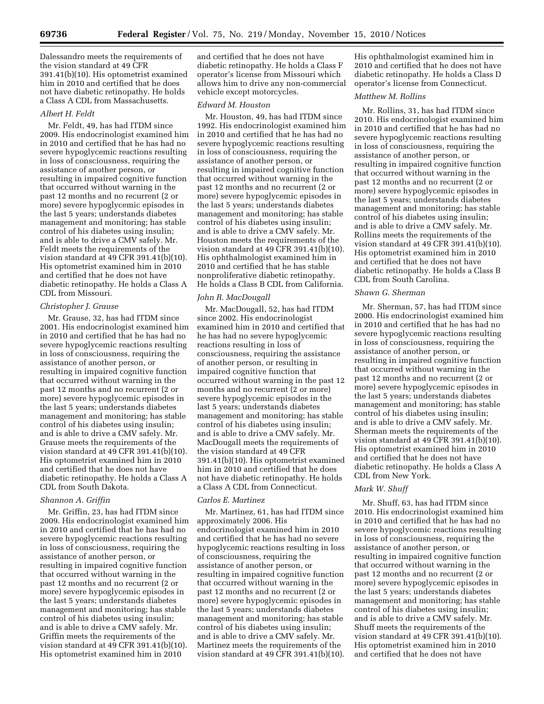Dalessandro meets the requirements of the vision standard at 49 CFR 391.41(b)(10). His optometrist examined him in 2010 and certified that he does not have diabetic retinopathy. He holds a Class A CDL from Massachusetts.

#### *Albert H. Feldt*

Mr. Feldt, 49, has had ITDM since 2009. His endocrinologist examined him in 2010 and certified that he has had no severe hypoglycemic reactions resulting in loss of consciousness, requiring the assistance of another person, or resulting in impaired cognitive function that occurred without warning in the past 12 months and no recurrent (2 or more) severe hypoglycemic episodes in the last 5 years; understands diabetes management and monitoring; has stable control of his diabetes using insulin; and is able to drive a CMV safely. Mr. Feldt meets the requirements of the vision standard at 49 CFR 391.41(b)(10). His optometrist examined him in 2010 and certified that he does not have diabetic retinopathy. He holds a Class A CDL from Missouri.

# *Christopher J. Grause*

Mr. Grause, 32, has had ITDM since 2001. His endocrinologist examined him in 2010 and certified that he has had no severe hypoglycemic reactions resulting in loss of consciousness, requiring the assistance of another person, or resulting in impaired cognitive function that occurred without warning in the past 12 months and no recurrent (2 or more) severe hypoglycemic episodes in the last 5 years; understands diabetes management and monitoring; has stable control of his diabetes using insulin; and is able to drive a CMV safely. Mr. Grause meets the requirements of the vision standard at 49 CFR 391.41(b)(10). His optometrist examined him in 2010 and certified that he does not have diabetic retinopathy. He holds a Class A CDL from South Dakota.

# *Shannon A. Griffin*

Mr. Griffin, 23, has had ITDM since 2009. His endocrinologist examined him in 2010 and certified that he has had no severe hypoglycemic reactions resulting in loss of consciousness, requiring the assistance of another person, or resulting in impaired cognitive function that occurred without warning in the past 12 months and no recurrent (2 or more) severe hypoglycemic episodes in the last 5 years; understands diabetes management and monitoring; has stable control of his diabetes using insulin; and is able to drive a CMV safely. Mr. Griffin meets the requirements of the vision standard at 49 CFR 391.41(b)(10). His optometrist examined him in 2010

and certified that he does not have diabetic retinopathy. He holds a Class F operator's license from Missouri which allows him to drive any non-commercial vehicle except motorcycles.

## *Edward M. Houston*

Mr. Houston, 49, has had ITDM since 1992. His endocrinologist examined him in 2010 and certified that he has had no severe hypoglycemic reactions resulting in loss of consciousness, requiring the assistance of another person, or resulting in impaired cognitive function that occurred without warning in the past 12 months and no recurrent (2 or more) severe hypoglycemic episodes in the last 5 years; understands diabetes management and monitoring; has stable control of his diabetes using insulin; and is able to drive a CMV safely. Mr. Houston meets the requirements of the vision standard at 49 CFR 391.41(b)(10). His ophthalmologist examined him in 2010 and certified that he has stable nonproliferative diabetic retinopathy. He holds a Class B CDL from California.

# *John R. MacDougall*

Mr. MacDougall, 52, has had ITDM since 2002. His endocrinologist examined him in 2010 and certified that he has had no severe hypoglycemic reactions resulting in loss of consciousness, requiring the assistance of another person, or resulting in impaired cognitive function that occurred without warning in the past 12 months and no recurrent (2 or more) severe hypoglycemic episodes in the last 5 years; understands diabetes management and monitoring; has stable control of his diabetes using insulin; and is able to drive a CMV safely. Mr. MacDougall meets the requirements of the vision standard at 49 CFR 391.41(b)(10). His optometrist examined him in 2010 and certified that he does not have diabetic retinopathy. He holds a Class A CDL from Connecticut.

#### *Carlos E. Martinez*

Mr. Martinez, 61, has had ITDM since approximately 2006. His endocrinologist examined him in 2010 and certified that he has had no severe hypoglycemic reactions resulting in loss of consciousness, requiring the assistance of another person, or resulting in impaired cognitive function that occurred without warning in the past 12 months and no recurrent (2 or more) severe hypoglycemic episodes in the last 5 years; understands diabetes management and monitoring; has stable control of his diabetes using insulin; and is able to drive a CMV safely. Mr. Martinez meets the requirements of the vision standard at 49 CFR 391.41(b)(10).

His ophthalmologist examined him in 2010 and certified that he does not have diabetic retinopathy. He holds a Class D operator's license from Connecticut.

# *Matthew M. Rollins*

Mr. Rollins, 31, has had ITDM since 2010. His endocrinologist examined him in 2010 and certified that he has had no severe hypoglycemic reactions resulting in loss of consciousness, requiring the assistance of another person, or resulting in impaired cognitive function that occurred without warning in the past 12 months and no recurrent (2 or more) severe hypoglycemic episodes in the last 5 years; understands diabetes management and monitoring; has stable control of his diabetes using insulin; and is able to drive a CMV safely. Mr. Rollins meets the requirements of the vision standard at  $49$  CFR 391.41(b)(10). His optometrist examined him in 2010 and certified that he does not have diabetic retinopathy. He holds a Class B CDL from South Carolina.

#### *Shawn G. Sherman*

Mr. Sherman, 57, has had ITDM since 2000. His endocrinologist examined him in 2010 and certified that he has had no severe hypoglycemic reactions resulting in loss of consciousness, requiring the assistance of another person, or resulting in impaired cognitive function that occurred without warning in the past 12 months and no recurrent (2 or more) severe hypoglycemic episodes in the last 5 years; understands diabetes management and monitoring; has stable control of his diabetes using insulin; and is able to drive a CMV safely. Mr. Sherman meets the requirements of the vision standard at 49 CFR 391.41(b)(10). His optometrist examined him in 2010 and certified that he does not have diabetic retinopathy. He holds a Class A CDL from New York.

#### *Mark W. Shuff*

Mr. Shuff, 63, has had ITDM since 2010. His endocrinologist examined him in 2010 and certified that he has had no severe hypoglycemic reactions resulting in loss of consciousness, requiring the assistance of another person, or resulting in impaired cognitive function that occurred without warning in the past 12 months and no recurrent (2 or more) severe hypoglycemic episodes in the last 5 years; understands diabetes management and monitoring; has stable control of his diabetes using insulin; and is able to drive a CMV safely. Mr. Shuff meets the requirements of the vision standard at 49 CFR 391.41(b)(10). His optometrist examined him in 2010 and certified that he does not have